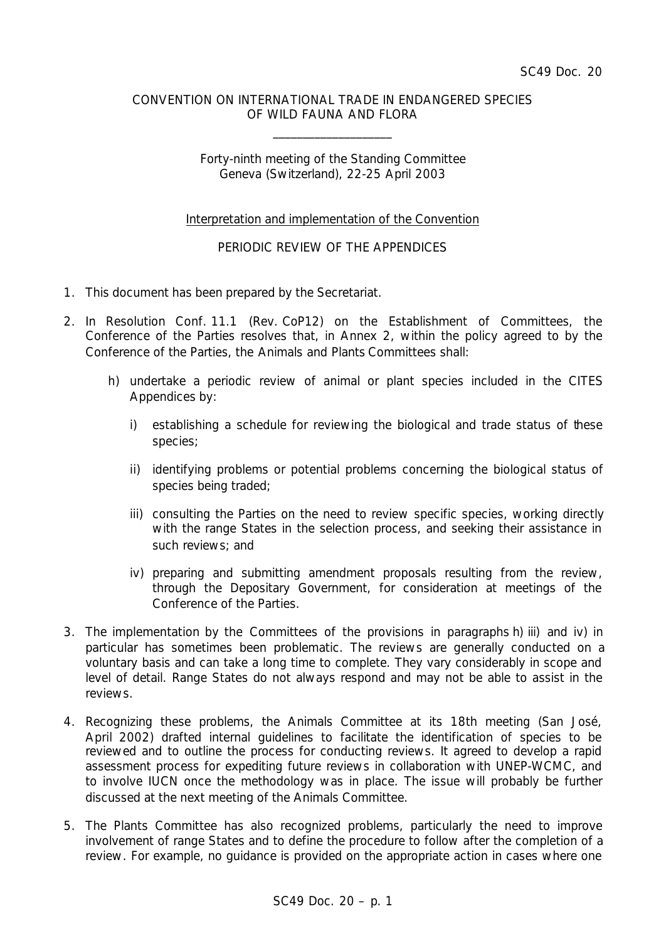## CONVENTION ON INTERNATIONAL TRADE IN ENDANGERED SPECIES OF WILD FAUNA AND FLORA

\_\_\_\_\_\_\_\_\_\_\_\_\_\_\_\_\_\_\_\_

Forty-ninth meeting of the Standing Committee Geneva (Switzerland), 22-25 April 2003

## Interpretation and implementation of the Convention

## PERIODIC REVIEW OF THE APPENDICES

- 1. This document has been prepared by the Secretariat.
- 2. In Resolution Conf. 11.1 (Rev. CoP12) on the Establishment of Committees, the Conference of the Parties resolves that, in Annex 2, within the policy agreed to by the Conference of the Parties, the Animals and Plants Committees shall:
	- *h) undertake a periodic review of animal or plant species included in the CITES Appendices by:*
		- *i) establishing a schedule for reviewing the biological and trade status of these species;*
		- *ii) identifying problems or potential problems concerning the biological status of species being traded;*
		- *iii) consulting the Parties on the need to review specific species, working directly with the range States in the selection process, and seeking their assistance in such reviews; and*
		- *iv) preparing and submitting amendment proposals resulting from the review, through the Depositary Government, for consideration at meetings of the Conference of the Parties.*
- 3. The implementation by the Committees of the provisions in paragraphs h) iii) and iv) in particular has sometimes been problematic. The reviews are generally conducted on a voluntary basis and can take a long time to complete. They vary considerably in scope and level of detail. Range States do not always respond and may not be able to assist in the reviews.
- 4. Recognizing these problems, the Animals Committee at its 18th meeting (San José, April 2002) drafted internal guidelines to facilitate the identification of species to be reviewed and to outline the process for conducting reviews. It agreed to develop a rapid assessment process for expediting future reviews in collaboration with UNEP-WCMC, and to involve IUCN once the methodology was in place. The issue will probably be further discussed at the next meeting of the Animals Committee.
- 5. The Plants Committee has also recognized problems, particularly the need to improve involvement of range States and to define the procedure to follow after the completion of a review. For example, no guidance is provided on the appropriate action in cases where one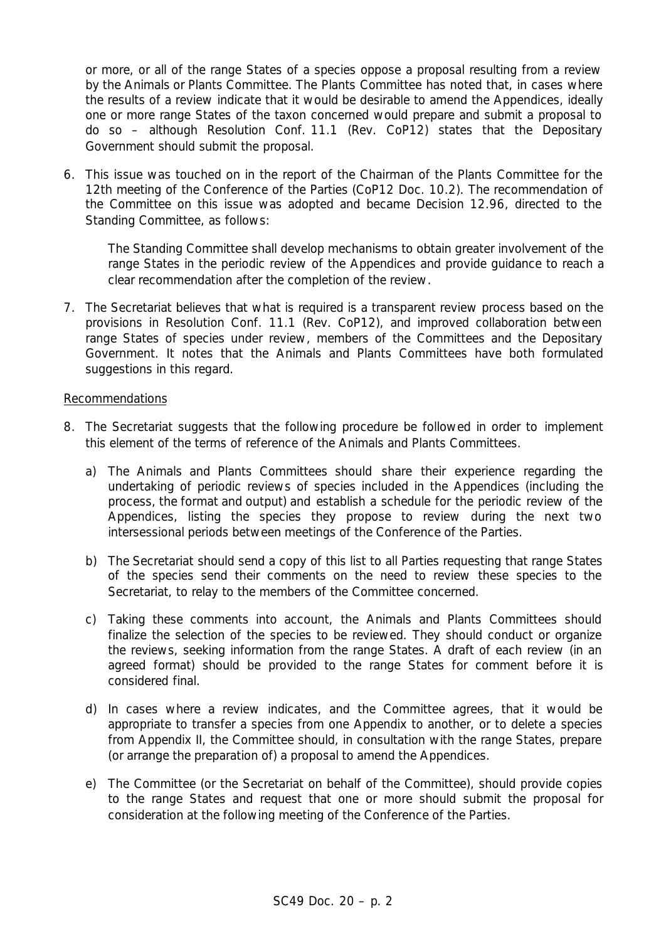or more, or all of the range States of a species oppose a proposal resulting from a review by the Animals or Plants Committee. The Plants Committee has noted that, in cases where the results of a review indicate that it would be desirable to amend the Appendices, ideally one or more range States of the taxon concerned would prepare and submit a proposal to do so – although Resolution Conf. 11.1 (Rev. CoP12) states that the Depositary Government should submit the proposal.

6. This issue was touched on in the report of the Chairman of the Plants Committee for the 12th meeting of the Conference of the Parties (CoP12 Doc. 10.2). The recommendation of the Committee on this issue was adopted and became Decision 12.96, directed to the Standing Committee, as follows:

*The Standing Committee shall develop mechanisms to obtain greater involvement of the range States in the periodic review of the Appendices and provide guidance to reach a clear recommendation after the completion of the review.*

7. The Secretariat believes that what is required is a transparent review process based on the provisions in Resolution Conf. 11.1 (Rev. CoP12), and improved collaboration between range States of species under review, members of the Committees and the Depositary Government. It notes that the Animals and Plants Committees have both formulated suggestions in this regard.

## Recommendations

- 8. The Secretariat suggests that the following procedure be followed in order to implement this element of the terms of reference of the Animals and Plants Committees.
	- a) The Animals and Plants Committees should share their experience regarding the undertaking of periodic reviews of species included in the Appendices (including the process, the format and output) and establish a schedule for the periodic review of the Appendices, listing the species they propose to review during the next two intersessional periods between meetings of the Conference of the Parties.
	- b) The Secretariat should send a copy of this list to all Parties requesting that range States of the species send their comments on the need to review these species to the Secretariat, to relay to the members of the Committee concerned.
	- c) Taking these comments into account, the Animals and Plants Committees should finalize the selection of the species to be reviewed. They should conduct or organize the reviews, seeking information from the range States. A draft of each review (in an agreed format) should be provided to the range States for comment before it is considered final.
	- d) In cases where a review indicates, and the Committee agrees, that it would be appropriate to transfer a species from one Appendix to another, or to delete a species from Appendix II, the Committee should, in consultation with the range States, prepare (or arrange the preparation of) a proposal to amend the Appendices.
	- e) The Committee (or the Secretariat on behalf of the Committee), should provide copies to the range States and request that one or more should submit the proposal for consideration at the following meeting of the Conference of the Parties.